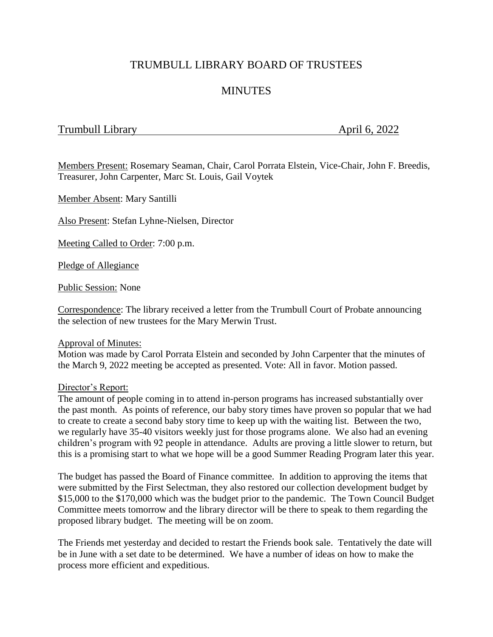# TRUMBULL LIBRARY BOARD OF TRUSTEES

# **MINUTES**

## Trumbull Library **April 6, 2022**

Members Present: Rosemary Seaman, Chair, Carol Porrata Elstein, Vice-Chair, John F. Breedis, Treasurer, John Carpenter, Marc St. Louis, Gail Voytek

Member Absent: Mary Santilli

Also Present: Stefan Lyhne-Nielsen, Director

Meeting Called to Order: 7:00 p.m.

Pledge of Allegiance

Public Session: None

Correspondence: The library received a letter from the Trumbull Court of Probate announcing the selection of new trustees for the Mary Merwin Trust.

#### Approval of Minutes:

Motion was made by Carol Porrata Elstein and seconded by John Carpenter that the minutes of the March 9, 2022 meeting be accepted as presented. Vote: All in favor. Motion passed.

#### Director's Report:

The amount of people coming in to attend in-person programs has increased substantially over the past month. As points of reference, our baby story times have proven so popular that we had to create to create a second baby story time to keep up with the waiting list. Between the two, we regularly have 35-40 visitors weekly just for those programs alone. We also had an evening children's program with 92 people in attendance. Adults are proving a little slower to return, but this is a promising start to what we hope will be a good Summer Reading Program later this year.

The budget has passed the Board of Finance committee. In addition to approving the items that were submitted by the First Selectman, they also restored our collection development budget by \$15,000 to the \$170,000 which was the budget prior to the pandemic. The Town Council Budget Committee meets tomorrow and the library director will be there to speak to them regarding the proposed library budget. The meeting will be on zoom.

The Friends met yesterday and decided to restart the Friends book sale. Tentatively the date will be in June with a set date to be determined. We have a number of ideas on how to make the process more efficient and expeditious.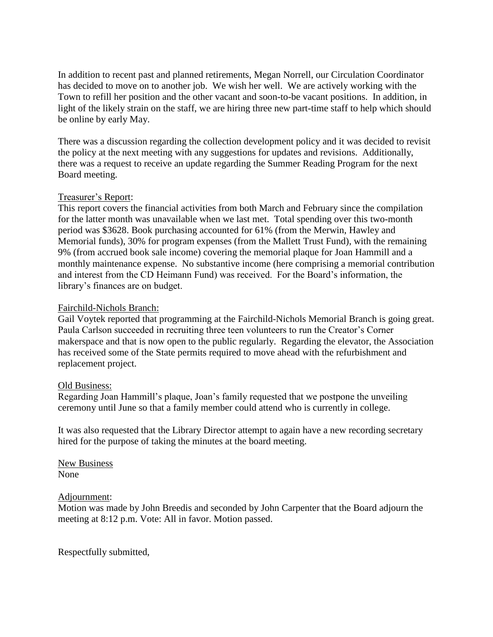In addition to recent past and planned retirements, Megan Norrell, our Circulation Coordinator has decided to move on to another job. We wish her well. We are actively working with the Town to refill her position and the other vacant and soon-to-be vacant positions. In addition, in light of the likely strain on the staff, we are hiring three new part-time staff to help which should be online by early May.

There was a discussion regarding the collection development policy and it was decided to revisit the policy at the next meeting with any suggestions for updates and revisions. Additionally, there was a request to receive an update regarding the Summer Reading Program for the next Board meeting.

### Treasurer's Report:

This report covers the financial activities from both March and February since the compilation for the latter month was unavailable when we last met. Total spending over this two-month period was \$3628. Book purchasing accounted for 61% (from the Merwin, Hawley and Memorial funds), 30% for program expenses (from the Mallett Trust Fund), with the remaining 9% (from accrued book sale income) covering the memorial plaque for Joan Hammill and a monthly maintenance expense. No substantive income (here comprising a memorial contribution and interest from the CD Heimann Fund) was received. For the Board's information, the library's finances are on budget.

### Fairchild-Nichols Branch:

Gail Voytek reported that programming at the Fairchild-Nichols Memorial Branch is going great. Paula Carlson succeeded in recruiting three teen volunteers to run the Creator's Corner makerspace and that is now open to the public regularly. Regarding the elevator, the Association has received some of the State permits required to move ahead with the refurbishment and replacement project.

#### Old Business:

Regarding Joan Hammill's plaque, Joan's family requested that we postpone the unveiling ceremony until June so that a family member could attend who is currently in college.

It was also requested that the Library Director attempt to again have a new recording secretary hired for the purpose of taking the minutes at the board meeting.

New Business None

#### Adjournment:

Motion was made by John Breedis and seconded by John Carpenter that the Board adjourn the meeting at 8:12 p.m. Vote: All in favor. Motion passed.

Respectfully submitted,